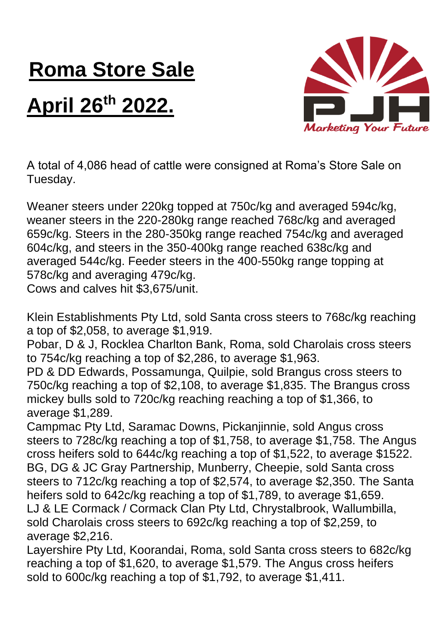## **Roma Store Sale**

## **April 26th 2022.**



A total of 4,086 head of cattle were consigned at Roma's Store Sale on Tuesday.

Weaner steers under 220kg topped at 750c/kg and averaged 594c/kg, weaner steers in the 220-280kg range reached 768c/kg and averaged 659c/kg. Steers in the 280-350kg range reached 754c/kg and averaged 604c/kg, and steers in the 350-400kg range reached 638c/kg and averaged 544c/kg. Feeder steers in the 400-550kg range topping at 578c/kg and averaging 479c/kg. Cows and calves hit \$3,675/unit.

Klein Establishments Pty Ltd, sold Santa cross steers to 768c/kg reaching a top of \$2,058, to average \$1,919.

Pobar, D & J, Rocklea Charlton Bank, Roma, sold Charolais cross steers to 754c/kg reaching a top of \$2,286, to average \$1,963.

PD & DD Edwards, Possamunga, Quilpie, sold Brangus cross steers to 750c/kg reaching a top of \$2,108, to average \$1,835. The Brangus cross mickey bulls sold to 720c/kg reaching reaching a top of \$1,366, to average \$1,289.

Campmac Pty Ltd, Saramac Downs, Pickanjinnie, sold Angus cross steers to 728c/kg reaching a top of \$1,758, to average \$1,758. The Angus cross heifers sold to 644c/kg reaching a top of \$1,522, to average \$1522. BG, DG & JC Gray Partnership, Munberry, Cheepie, sold Santa cross steers to 712c/kg reaching a top of \$2,574, to average \$2,350. The Santa heifers sold to 642c/kg reaching a top of \$1,789, to average \$1,659. LJ & LE Cormack / Cormack Clan Pty Ltd, Chrystalbrook, Wallumbilla, sold Charolais cross steers to 692c/kg reaching a top of \$2,259, to average \$2,216.

Layershire Pty Ltd, Koorandai, Roma, sold Santa cross steers to 682c/kg reaching a top of \$1,620, to average \$1,579. The Angus cross heifers sold to 600c/kg reaching a top of \$1,792, to average \$1,411.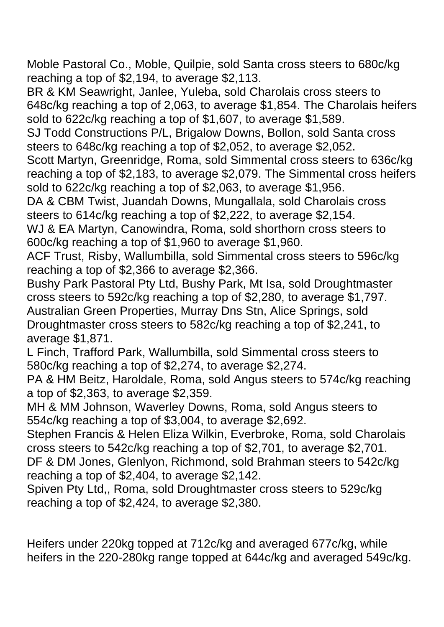Moble Pastoral Co., Moble, Quilpie, sold Santa cross steers to 680c/kg reaching a top of \$2,194, to average \$2,113.

BR & KM Seawright, Janlee, Yuleba, sold Charolais cross steers to 648c/kg reaching a top of 2,063, to average \$1,854. The Charolais heifers sold to 622c/kg reaching a top of \$1,607, to average \$1,589.

SJ Todd Constructions P/L, Brigalow Downs, Bollon, sold Santa cross steers to 648c/kg reaching a top of \$2,052, to average \$2,052.

Scott Martyn, Greenridge, Roma, sold Simmental cross steers to 636c/kg reaching a top of \$2,183, to average \$2,079. The Simmental cross heifers sold to 622c/kg reaching a top of \$2,063, to average \$1,956.

DA & CBM Twist, Juandah Downs, Mungallala, sold Charolais cross steers to 614c/kg reaching a top of \$2,222, to average \$2,154.

WJ & EA Martyn, Canowindra, Roma, sold shorthorn cross steers to 600c/kg reaching a top of \$1,960 to average \$1,960.

ACF Trust, Risby, Wallumbilla, sold Simmental cross steers to 596c/kg reaching a top of \$2,366 to average \$2,366.

Bushy Park Pastoral Pty Ltd, Bushy Park, Mt Isa, sold Droughtmaster cross steers to 592c/kg reaching a top of \$2,280, to average \$1,797. Australian Green Properties, Murray Dns Stn, Alice Springs, sold Droughtmaster cross steers to 582c/kg reaching a top of \$2,241, to average \$1,871.

L Finch, Trafford Park, Wallumbilla, sold Simmental cross steers to 580c/kg reaching a top of \$2,274, to average \$2,274.

PA & HM Beitz, Haroldale, Roma, sold Angus steers to 574c/kg reaching a top of \$2,363, to average \$2,359.

MH & MM Johnson, Waverley Downs, Roma, sold Angus steers to 554c/kg reaching a top of \$3,004, to average \$2,692.

Stephen Francis & Helen Eliza Wilkin, Everbroke, Roma, sold Charolais cross steers to 542c/kg reaching a top of \$2,701, to average \$2,701. DF & DM Jones, Glenlyon, Richmond, sold Brahman steers to 542c/kg reaching a top of \$2,404, to average \$2,142.

Spiven Pty Ltd,, Roma, sold Droughtmaster cross steers to 529c/kg reaching a top of \$2,424, to average \$2,380.

Heifers under 220kg topped at 712c/kg and averaged 677c/kg, while heifers in the 220-280kg range topped at 644c/kg and averaged 549c/kg.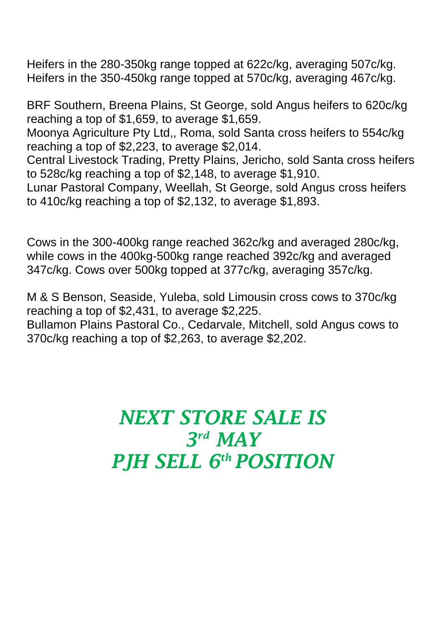Heifers in the 280-350kg range topped at 622c/kg, averaging 507c/kg. Heifers in the 350-450kg range topped at 570c/kg, averaging 467c/kg.

BRF Southern, Breena Plains, St George, sold Angus heifers to 620c/kg reaching a top of \$1,659, to average \$1,659.

Moonya Agriculture Pty Ltd,, Roma, sold Santa cross heifers to 554c/kg reaching a top of \$2,223, to average \$2,014.

Central Livestock Trading, Pretty Plains, Jericho, sold Santa cross heifers to 528c/kg reaching a top of \$2,148, to average \$1,910.

Lunar Pastoral Company, Weellah, St George, sold Angus cross heifers to 410c/kg reaching a top of \$2,132, to average \$1,893.

Cows in the 300-400kg range reached 362c/kg and averaged 280c/kg, while cows in the 400kg-500kg range reached 392c/kg and averaged 347c/kg. Cows over 500kg topped at 377c/kg, averaging 357c/kg.

M & S Benson, Seaside, Yuleba, sold Limousin cross cows to 370c/kg reaching a top of \$2,431, to average \$2,225.

Bullamon Plains Pastoral Co., Cedarvale, Mitchell, sold Angus cows to 370c/kg reaching a top of \$2,263, to average \$2,202.

## *NEXT STORE SALE IS 3 rd MAY PJH SELL 6 th POSITION*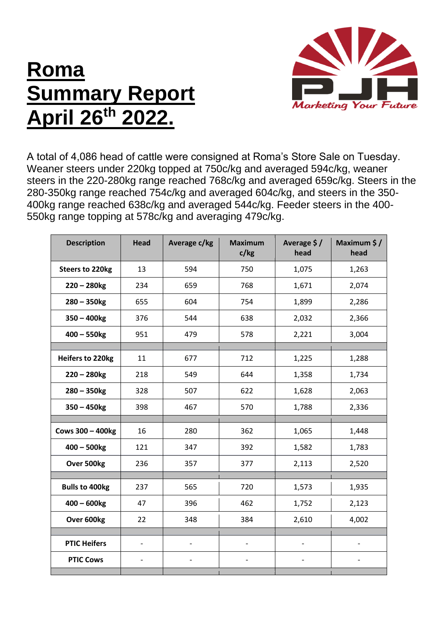## **Roma Summary Report April 26th 2022.**



A total of 4,086 head of cattle were consigned at Roma's Store Sale on Tuesday. Weaner steers under 220kg topped at 750c/kg and averaged 594c/kg, weaner steers in the 220-280kg range reached 768c/kg and averaged 659c/kg. Steers in the 280-350kg range reached 754c/kg and averaged 604c/kg, and steers in the 350- 400kg range reached 638c/kg and averaged 544c/kg. Feeder steers in the 400- 550kg range topping at 578c/kg and averaging 479c/kg.

| <b>Description</b>      | <b>Head</b>              | Average c/kg             | <b>Maximum</b><br>c/kg | Average \$/<br>head          | Maximum \$/<br>head      |
|-------------------------|--------------------------|--------------------------|------------------------|------------------------------|--------------------------|
| <b>Steers to 220kg</b>  | 13                       | 594                      | 750                    | 1,075                        | 1,263                    |
| $220 - 280$ kg          | 234                      | 659                      | 768                    | 1,671                        | 2,074                    |
| $280 - 350$ kg          | 655                      | 604                      | 754                    | 1,899                        | 2,286                    |
| $350 - 400$ kg          | 376                      | 544                      | 638                    | 2,032                        | 2,366                    |
| $400 - 550$ kg          | 951                      | 479                      | 578                    | 2,221                        | 3,004                    |
| Heifers to 220kg        | 11                       | 677                      | 712                    | 1,225                        | 1,288                    |
| $220 - 280$ kg          | 218                      | 549                      | 644                    | 1,358                        | 1,734                    |
|                         | 328                      | 507                      | 622                    |                              |                          |
| $280 - 350$ kg          |                          |                          |                        | 1,628                        | 2,063                    |
| $350 - 450$ kg          | 398                      | 467                      | 570                    | 1,788                        | 2,336                    |
| <b>Cows 300 - 400kg</b> | 16                       | 280                      | 362                    | 1,065                        | 1,448                    |
| $400 - 500$ kg          | 121                      | 347                      | 392                    | 1,582                        | 1,783                    |
| Over 500kg              | 236                      | 357                      | 377                    | 2,113                        | 2,520                    |
|                         |                          |                          |                        |                              |                          |
| <b>Bulls to 400kg</b>   | 237                      | 565                      | 720                    | 1,573                        | 1,935                    |
| $400 - 600$ kg          | 47                       | 396                      | 462                    | 1,752                        | 2,123                    |
| Over 600kg              | 22                       | 348                      | 384                    | 2,610                        | 4,002                    |
| <b>PTIC Heifers</b>     | $\qquad \qquad -$        | $\overline{\phantom{a}}$ |                        | $\qquad \qquad \blacksquare$ | $\overline{\phantom{0}}$ |
| <b>PTIC Cows</b>        | $\overline{\phantom{0}}$ |                          |                        |                              |                          |
|                         |                          |                          |                        |                              |                          |